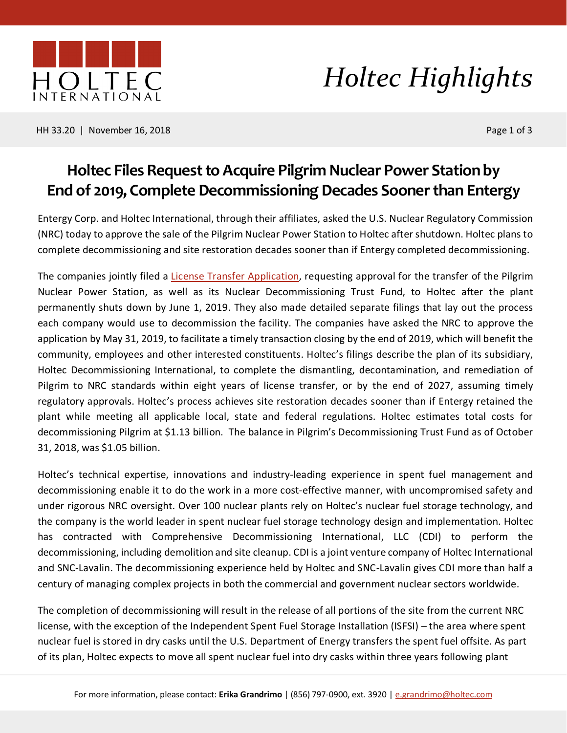

### *Holtec Highlights*

HH 33.20 | November 16, 2018 Page 1 of 3

### **Holtec Files Request to Acquire Pilgrim Nuclear Power Station by End of 2019, Complete Decommissioning Decades Sooner than Entergy**

Entergy Corp. and Holtec International, through their affiliates, asked the U.S. Nuclear Regulatory Commission (NRC) today to approve the sale of the Pilgrim Nuclear Power Station to Holtec after shutdown. Holtec plans to complete decommissioning and site restoration decades sooner than if Entergy completed decommissioning.

The companies jointly filed a [License Transfer Application,](http://www.pilgrimpower.com/get-the-facts/decommissioning.html) requesting approval for the transfer of the Pilgrim Nuclear Power Station, as well as its Nuclear Decommissioning Trust Fund, to Holtec after the plant permanently shuts down by June 1, 2019. They also made detailed separate filings that lay out the process each company would use to decommission the facility. The companies have asked the NRC to approve the application by May 31, 2019, to facilitate a timely transaction closing by the end of 2019, which will benefit the community, employees and other interested constituents. Holtec's filings describe the plan of its subsidiary, Holtec Decommissioning International, to complete the dismantling, decontamination, and remediation of Pilgrim to NRC standards within eight years of license transfer, or by the end of 2027, assuming timely regulatory approvals. Holtec's process achieves site restoration decades sooner than if Entergy retained the plant while meeting all applicable local, state and federal regulations. Holtec estimates total costs for decommissioning Pilgrim at \$1.13 billion. The balance in Pilgrim's Decommissioning Trust Fund as of October 31, 2018, was \$1.05 billion.

Holtec's technical expertise, innovations and industry-leading experience in spent fuel management and decommissioning enable it to do the work in a more cost-effective manner, with uncompromised safety and under rigorous NRC oversight. Over 100 nuclear plants rely on Holtec's nuclear fuel storage technology, and the company is the world leader in spent nuclear fuel storage technology design and implementation. Holtec has contracted with Comprehensive Decommissioning International, LLC (CDI) to perform the decommissioning, including demolition and site cleanup. CDI is a joint venture company of Holtec International and SNC-Lavalin. The decommissioning experience held by Holtec and SNC-Lavalin gives CDI more than half a century of managing complex projects in both the commercial and government nuclear sectors worldwide.

The completion of decommissioning will result in the release of all portions of the site from the current NRC license, with the exception of the Independent Spent Fuel Storage Installation (ISFSI) – the area where spent nuclear fuel is stored in dry casks until the U.S. Department of Energy transfers the spent fuel offsite. As part of its plan, Holtec expects to move all spent nuclear fuel into dry casks within three years following plant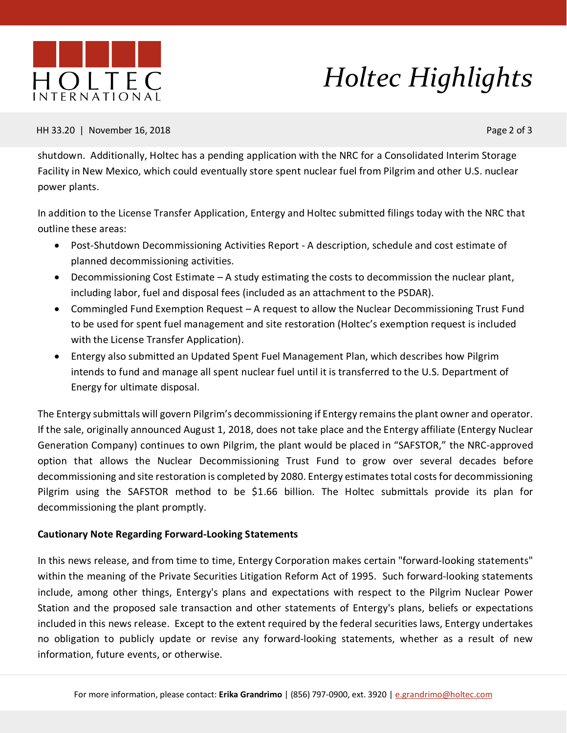

# *Holtec Highlights*

#### HH 33.20 | November 16, 2018 Page 2 of 3

shutdown. Additionally, Holtec has a pending application with the NRC for a Consolidated Interim Storage Facility in New Mexico, which could eventually store spent nuclear fuel from Pilgrim and other U.S. nuclear power plants.

In addition to the License Transfer Application, Entergy and Holtec submitted filings today with the NRC that outline these areas:

- Post-Shutdown Decommissioning Activities Report A description, schedule and cost estimate of planned decommissioning activities.
- Decommissioning Cost Estimate A study estimating the costs to decommission the nuclear plant, including labor, fuel and disposal fees (included as an attachment to the PSDAR).
- Commingled Fund Exemption Request A request to allow the Nuclear Decommissioning Trust Fund to be used for spent fuel management and site restoration (Holtec's exemption request is included with the License Transfer Application).
- Entergy also submitted an Updated Spent Fuel Management Plan, which describes how Pilgrim intends to fund and manage all spent nuclear fuel until it is transferred to the U.S. Department of Energy for ultimate disposal.

The Entergy submittals will govern Pilgrim's decommissioning if Entergy remains the plant owner and operator. If the sale, originally announced August 1, 2018, does not take place and the Entergy affiliate (Entergy Nuclear Generation Company) continues to own Pilgrim, the plant would be placed in "SAFSTOR," the NRC-approved option that allows the Nuclear Decommissioning Trust Fund to grow over several decades before decommissioning and site restoration is completed by 2080. Entergy estimates total costs for decommissioning Pilgrim using the SAFSTOR method to be \$1.66 billion. The Holtec submittals provide its plan for decommissioning the plant promptly.

### **Cautionary Note Regarding Forward-Looking Statements**

In this news release, and from time to time, Entergy Corporation makes certain "forward-looking statements" within the meaning of the Private Securities Litigation Reform Act of 1995. Such forward-looking statements include, among other things, Entergy's plans and expectations with respect to the Pilgrim Nuclear Power Station and the proposed sale transaction and other statements of Entergy's plans, beliefs or expectations included in this news release. Except to the extent required by the federal securities laws, Entergy undertakes no obligation to publicly update or revise any forward-looking statements, whether as a result of new information, future events, or otherwise.